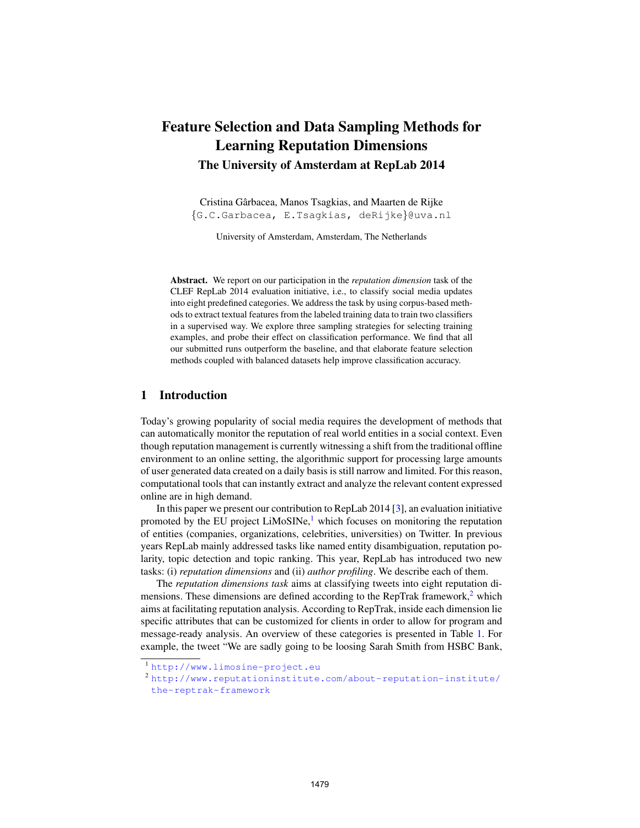# Feature Selection and Data Sampling Methods for Learning Reputation Dimensions The University of Amsterdam at RepLab 2014

Cristina Garbacea, Manos Tsagkias, and Maarten de Rijke ˆ {G.C.Garbacea, E.Tsagkias, deRijke}@uva.nl

University of Amsterdam, Amsterdam, The Netherlands

Abstract. We report on our participation in the *reputation dimension* task of the CLEF RepLab 2014 evaluation initiative, i.e., to classify social media updates into eight predefined categories. We address the task by using corpus-based methods to extract textual features from the labeled training data to train two classifiers in a supervised way. We explore three sampling strategies for selecting training examples, and probe their effect on classification performance. We find that all our submitted runs outperform the baseline, and that elaborate feature selection methods coupled with balanced datasets help improve classification accuracy.

#### 1 Introduction

Today's growing popularity of social media requires the development of methods that can automatically monitor the reputation of real world entities in a social context. Even though reputation management is currently witnessing a shift from the traditional offline environment to an online setting, the algorithmic support for processing large amounts of user generated data created on a daily basis is still narrow and limited. For this reason, computational tools that can instantly extract and analyze the relevant content expressed online are in high demand.

In this paper we present our contribution to RepLab 2014 [3], an evaluation initiative promoted by the EU project  $LiMoSINE<sup>1</sup>$ , which focuses on monitoring the reputation of entities (companies, organizations, celebrities, universities) on Twitter. In previous years RepLab mainly addressed tasks like named entity disambiguation, reputation polarity, topic detection and topic ranking. This year, RepLab has introduced two new tasks: (i) *reputation dimensions* and (ii) *author profiling*. We describe each of them.

The *reputation dimensions task* aims at classifying tweets into eight reputation dimensions. These dimensions are defined according to the RepTrak framework, $2$  which aims at facilitating reputation analysis. According to RepTrak, inside each dimension lie specific attributes that can be customized for clients in order to allow for program and message-ready analysis. An overview of these categories is presented in Table 1. For example, the tweet "We are sadly going to be loosing Sarah Smith from HSBC Bank,

<sup>1</sup> <http://www.limosine-project.eu>

<sup>2</sup> [http://www.reputationinstitute.com/about-reputation-institute/](http://www.reputationinstitute.com/about-repu tation-institute/the-reptrak-framework) [the-reptrak-framework](http://www.reputationinstitute.com/about-repu tation-institute/the-reptrak-framework)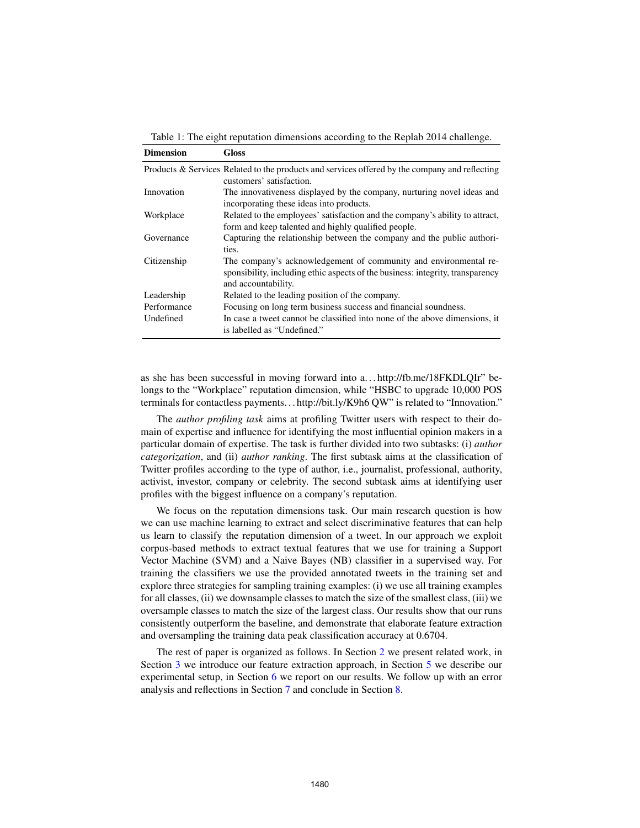| <b>Dimension</b>         | Gloss                                                                                                                                                                        |
|--------------------------|------------------------------------------------------------------------------------------------------------------------------------------------------------------------------|
|                          | Products & Services Related to the products and services offered by the company and reflecting<br>customers' satisfaction.                                                   |
| Innovation               | The innovativeness displayed by the company, nurturing novel ideas and<br>incorporating these ideas into products.                                                           |
| Workplace                | Related to the employees' satisfaction and the company's ability to attract,<br>form and keep talented and highly qualified people.                                          |
| Governance               | Capturing the relationship between the company and the public authori-<br>ties.                                                                                              |
| Citizenship              | The company's acknowledgement of community and environmental re-<br>sponsibility, including ethic aspects of the business: integrity, transparency<br>and accountability.    |
| Leadership               | Related to the leading position of the company.                                                                                                                              |
| Performance<br>Undefined | Focusing on long term business success and financial soundness.<br>In case a tweet cannot be classified into none of the above dimensions, it<br>is labelled as "Undefined." |

Table 1: The eight reputation dimensions according to the Replab 2014 challenge.

as she has been successful in moving forward into a. . . http://fb.me/18FKDLQIr" belongs to the "Workplace" reputation dimension, while "HSBC to upgrade 10,000 POS terminals for contactless payments. . . http://bit.ly/K9h6 QW" is related to "Innovation."

The *author profiling task* aims at profiling Twitter users with respect to their domain of expertise and influence for identifying the most influential opinion makers in a particular domain of expertise. The task is further divided into two subtasks: (i) *author categorization*, and (ii) *author ranking*. The first subtask aims at the classification of Twitter profiles according to the type of author, i.e., journalist, professional, authority, activist, investor, company or celebrity. The second subtask aims at identifying user profiles with the biggest influence on a company's reputation.

We focus on the reputation dimensions task. Our main research question is how we can use machine learning to extract and select discriminative features that can help us learn to classify the reputation dimension of a tweet. In our approach we exploit corpus-based methods to extract textual features that we use for training a Support Vector Machine (SVM) and a Naive Bayes (NB) classifier in a supervised way. For training the classifiers we use the provided annotated tweets in the training set and explore three strategies for sampling training examples: (i) we use all training examples for all classes, (ii) we downsample classes to match the size of the smallest class, (iii) we oversample classes to match the size of the largest class. Our results show that our runs consistently outperform the baseline, and demonstrate that elaborate feature extraction and oversampling the training data peak classification accuracy at 0.6704.

The rest of paper is organized as follows. In Section 2 we present related work, in Section 3 we introduce our feature extraction approach, in Section 5 we describe our experimental setup, in Section 6 we report on our results. We follow up with an error analysis and reflections in Section 7 and conclude in Section 8.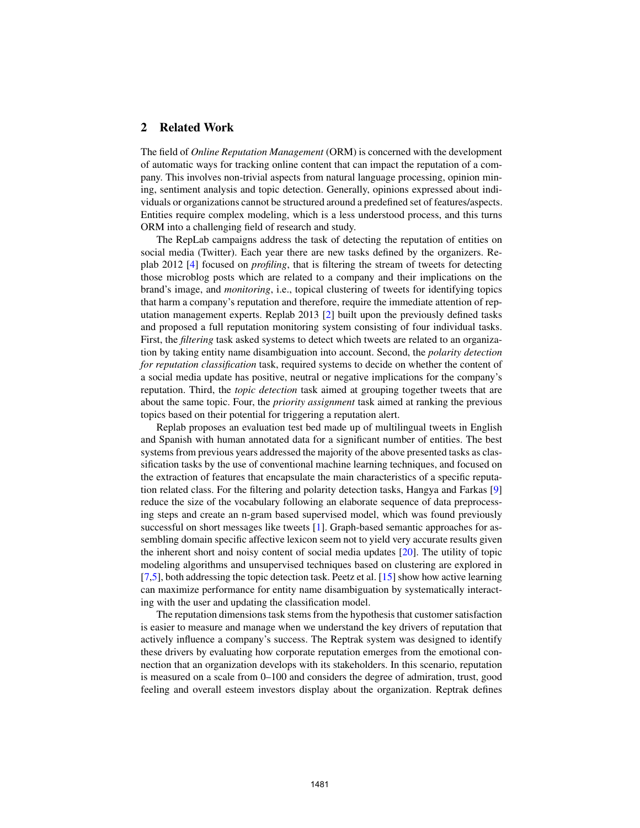## 2 Related Work

The field of *Online Reputation Management* (ORM) is concerned with the development of automatic ways for tracking online content that can impact the reputation of a company. This involves non-trivial aspects from natural language processing, opinion mining, sentiment analysis and topic detection. Generally, opinions expressed about individuals or organizations cannot be structured around a predefined set of features/aspects. Entities require complex modeling, which is a less understood process, and this turns ORM into a challenging field of research and study.

The RepLab campaigns address the task of detecting the reputation of entities on social media (Twitter). Each year there are new tasks defined by the organizers. Replab 2012 [4] focused on *profiling*, that is filtering the stream of tweets for detecting those microblog posts which are related to a company and their implications on the brand's image, and *monitoring*, i.e., topical clustering of tweets for identifying topics that harm a company's reputation and therefore, require the immediate attention of reputation management experts. Replab 2013 [2] built upon the previously defined tasks and proposed a full reputation monitoring system consisting of four individual tasks. First, the *filtering* task asked systems to detect which tweets are related to an organization by taking entity name disambiguation into account. Second, the *polarity detection for reputation classification* task, required systems to decide on whether the content of a social media update has positive, neutral or negative implications for the company's reputation. Third, the *topic detection* task aimed at grouping together tweets that are about the same topic. Four, the *priority assignment* task aimed at ranking the previous topics based on their potential for triggering a reputation alert.

Replab proposes an evaluation test bed made up of multilingual tweets in English and Spanish with human annotated data for a significant number of entities. The best systems from previous years addressed the majority of the above presented tasks as classification tasks by the use of conventional machine learning techniques, and focused on the extraction of features that encapsulate the main characteristics of a specific reputation related class. For the filtering and polarity detection tasks, Hangya and Farkas [9] reduce the size of the vocabulary following an elaborate sequence of data preprocessing steps and create an n-gram based supervised model, which was found previously successful on short messages like tweets [1]. Graph-based semantic approaches for assembling domain specific affective lexicon seem not to yield very accurate results given the inherent short and noisy content of social media updates [20]. The utility of topic modeling algorithms and unsupervised techniques based on clustering are explored in [7,5], both addressing the topic detection task. Peetz et al. [15] show how active learning can maximize performance for entity name disambiguation by systematically interacting with the user and updating the classification model.

The reputation dimensions task stems from the hypothesis that customer satisfaction is easier to measure and manage when we understand the key drivers of reputation that actively influence a company's success. The Reptrak system was designed to identify these drivers by evaluating how corporate reputation emerges from the emotional connection that an organization develops with its stakeholders. In this scenario, reputation is measured on a scale from 0–100 and considers the degree of admiration, trust, good feeling and overall esteem investors display about the organization. Reptrak defines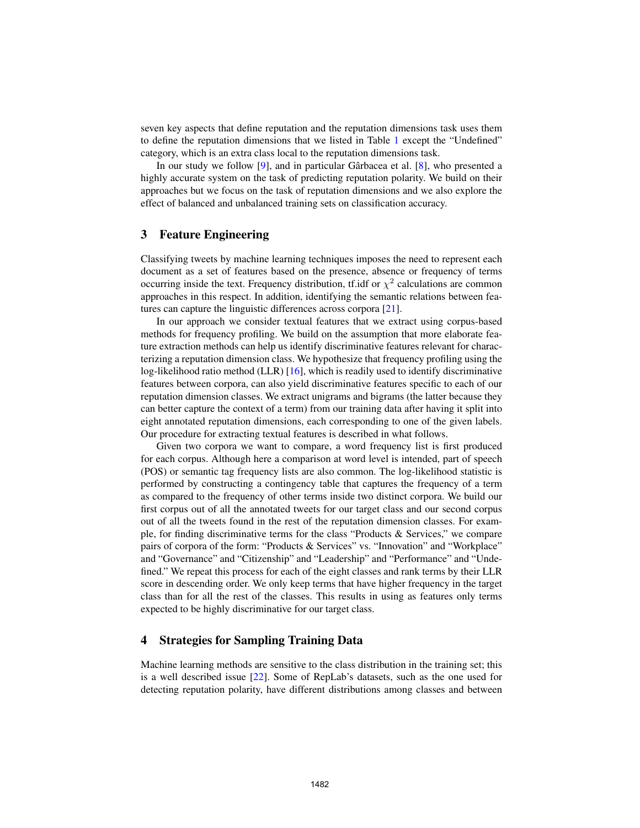seven key aspects that define reputation and the reputation dimensions task uses them to define the reputation dimensions that we listed in Table 1 except the "Undefined" category, which is an extra class local to the reputation dimensions task.

In our study we follow  $[9]$ , and in particular Gârbacea et al.  $[8]$ , who presented a highly accurate system on the task of predicting reputation polarity. We build on their approaches but we focus on the task of reputation dimensions and we also explore the effect of balanced and unbalanced training sets on classification accuracy.

#### 3 Feature Engineering

Classifying tweets by machine learning techniques imposes the need to represent each document as a set of features based on the presence, absence or frequency of terms occurring inside the text. Frequency distribution, tf.idf or  $\chi^2$  calculations are common approaches in this respect. In addition, identifying the semantic relations between features can capture the linguistic differences across corpora [21].

In our approach we consider textual features that we extract using corpus-based methods for frequency profiling. We build on the assumption that more elaborate feature extraction methods can help us identify discriminative features relevant for characterizing a reputation dimension class. We hypothesize that frequency profiling using the log-likelihood ratio method (LLR) [16], which is readily used to identify discriminative features between corpora, can also yield discriminative features specific to each of our reputation dimension classes. We extract unigrams and bigrams (the latter because they can better capture the context of a term) from our training data after having it split into eight annotated reputation dimensions, each corresponding to one of the given labels. Our procedure for extracting textual features is described in what follows.

Given two corpora we want to compare, a word frequency list is first produced for each corpus. Although here a comparison at word level is intended, part of speech (POS) or semantic tag frequency lists are also common. The log-likelihood statistic is performed by constructing a contingency table that captures the frequency of a term as compared to the frequency of other terms inside two distinct corpora. We build our first corpus out of all the annotated tweets for our target class and our second corpus out of all the tweets found in the rest of the reputation dimension classes. For example, for finding discriminative terms for the class "Products & Services," we compare pairs of corpora of the form: "Products & Services" vs. "Innovation" and "Workplace" and "Governance" and "Citizenship" and "Leadership" and "Performance" and "Undefined." We repeat this process for each of the eight classes and rank terms by their LLR score in descending order. We only keep terms that have higher frequency in the target class than for all the rest of the classes. This results in using as features only terms expected to be highly discriminative for our target class.

#### 4 Strategies for Sampling Training Data

Machine learning methods are sensitive to the class distribution in the training set; this is a well described issue [22]. Some of RepLab's datasets, such as the one used for detecting reputation polarity, have different distributions among classes and between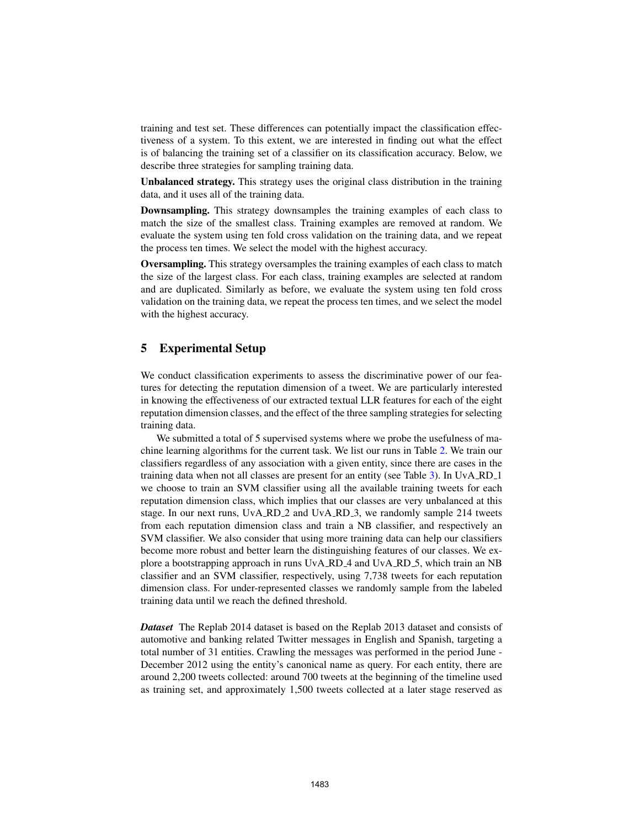training and test set. These differences can potentially impact the classification effectiveness of a system. To this extent, we are interested in finding out what the effect is of balancing the training set of a classifier on its classification accuracy. Below, we describe three strategies for sampling training data.

Unbalanced strategy. This strategy uses the original class distribution in the training data, and it uses all of the training data.

Downsampling. This strategy downsamples the training examples of each class to match the size of the smallest class. Training examples are removed at random. We evaluate the system using ten fold cross validation on the training data, and we repeat the process ten times. We select the model with the highest accuracy.

Oversampling. This strategy oversamples the training examples of each class to match the size of the largest class. For each class, training examples are selected at random and are duplicated. Similarly as before, we evaluate the system using ten fold cross validation on the training data, we repeat the process ten times, and we select the model with the highest accuracy.

## 5 Experimental Setup

We conduct classification experiments to assess the discriminative power of our features for detecting the reputation dimension of a tweet. We are particularly interested in knowing the effectiveness of our extracted textual LLR features for each of the eight reputation dimension classes, and the effect of the three sampling strategies for selecting training data.

We submitted a total of 5 supervised systems where we probe the usefulness of machine learning algorithms for the current task. We list our runs in Table 2. We train our classifiers regardless of any association with a given entity, since there are cases in the training data when not all classes are present for an entity (see Table 3). In UvA\_RD\_1 we choose to train an SVM classifier using all the available training tweets for each reputation dimension class, which implies that our classes are very unbalanced at this stage. In our next runs, UvA RD 2 and UvA RD 3, we randomly sample 214 tweets from each reputation dimension class and train a NB classifier, and respectively an SVM classifier. We also consider that using more training data can help our classifiers become more robust and better learn the distinguishing features of our classes. We explore a bootstrapping approach in runs UvA\_RD\_4 and UvA\_RD\_5, which train an NB classifier and an SVM classifier, respectively, using 7,738 tweets for each reputation dimension class. For under-represented classes we randomly sample from the labeled training data until we reach the defined threshold.

*Dataset* The Replab 2014 dataset is based on the Replab 2013 dataset and consists of automotive and banking related Twitter messages in English and Spanish, targeting a total number of 31 entities. Crawling the messages was performed in the period June - December 2012 using the entity's canonical name as query. For each entity, there are around 2,200 tweets collected: around 700 tweets at the beginning of the timeline used as training set, and approximately 1,500 tweets collected at a later stage reserved as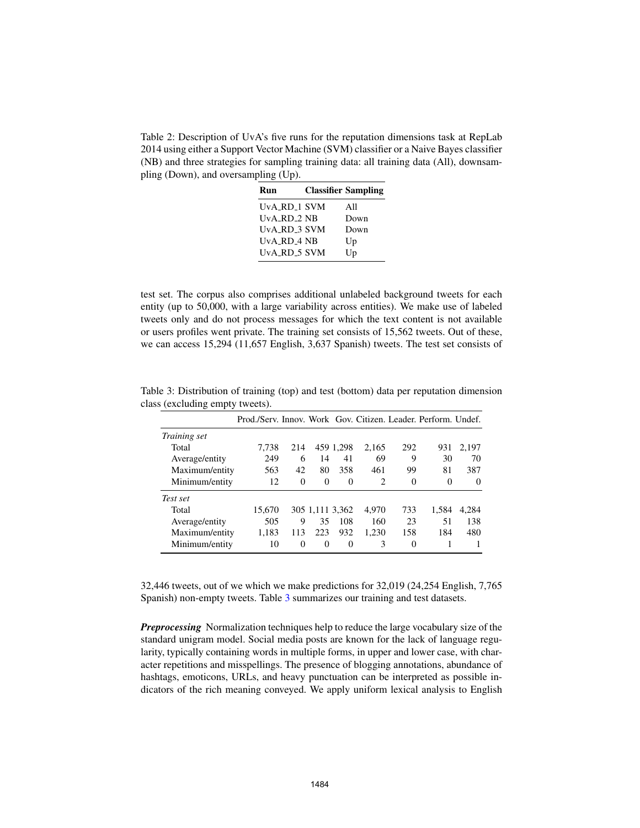Table 2: Description of UvA's five runs for the reputation dimensions task at RepLab 2014 using either a Support Vector Machine (SVM) classifier or a Naive Bayes classifier (NB) and three strategies for sampling training data: all training data (All), downsampling (Down), and oversampling (Up).

| Run                          | <b>Classifier Sampling</b> |
|------------------------------|----------------------------|
| UvA_RD_1 SVM                 | All                        |
| $UvA$ <sub>-RD-2</sub> $N$ B | Down                       |
| UvA RD 3 SVM                 | Down                       |
| UvA RD 4 NB                  | Up                         |
| UvA_RD_5 SVM                 | Up                         |

test set. The corpus also comprises additional unlabeled background tweets for each entity (up to 50,000, with a large variability across entities). We make use of labeled tweets only and do not process messages for which the text content is not available or users profiles went private. The training set consists of 15,562 tweets. Out of these, we can access 15,294 (11,657 English, 3,637 Spanish) tweets. The test set consists of

|                | Prod./Serv. Innov. Work Gov. Citizen. Leader. Perform. Undef. |          |                 |           |       |          |          |       |
|----------------|---------------------------------------------------------------|----------|-----------------|-----------|-------|----------|----------|-------|
| Training set   |                                                               |          |                 |           |       |          |          |       |
| Total          | 7,738                                                         | 214      |                 | 459 1,298 | 2.165 | 292      | 931      | 2.197 |
| Average/entity | 249                                                           | 6        | 14              | 41        | 69    | 9        | 30       | 70    |
| Maximum/entity | 563                                                           | 42       | 80              | 358       | 461   | 99       | 81       | 387   |
| Minimum/entity | 12                                                            | $\Omega$ | 0               | $\theta$  | 2     | 0        | $\Omega$ | 0     |
| Test set       |                                                               |          |                 |           |       |          |          |       |
| Total          | 15.670                                                        |          | 305 1,111 3,362 |           | 4.970 | 733      | 1.584    | 4.284 |
| Average/entity | 505                                                           | 9        | 35              | 108       | 160   | 23       | 51       | 138   |
| Maximum/entity | 1,183                                                         | 113      | 223             | 932       | 1.230 | 158      | 184      | 480   |
| Minimum/entity | 10                                                            | 0        | $\Omega$        | $\theta$  | 3     | $\Omega$ |          |       |

Table 3: Distribution of training (top) and test (bottom) data per reputation dimension class (excluding empty tweets).

32,446 tweets, out of we which we make predictions for 32,019 (24,254 English, 7,765 Spanish) non-empty tweets. Table 3 summarizes our training and test datasets.

*Preprocessing* Normalization techniques help to reduce the large vocabulary size of the standard unigram model. Social media posts are known for the lack of language regularity, typically containing words in multiple forms, in upper and lower case, with character repetitions and misspellings. The presence of blogging annotations, abundance of hashtags, emoticons, URLs, and heavy punctuation can be interpreted as possible indicators of the rich meaning conveyed. We apply uniform lexical analysis to English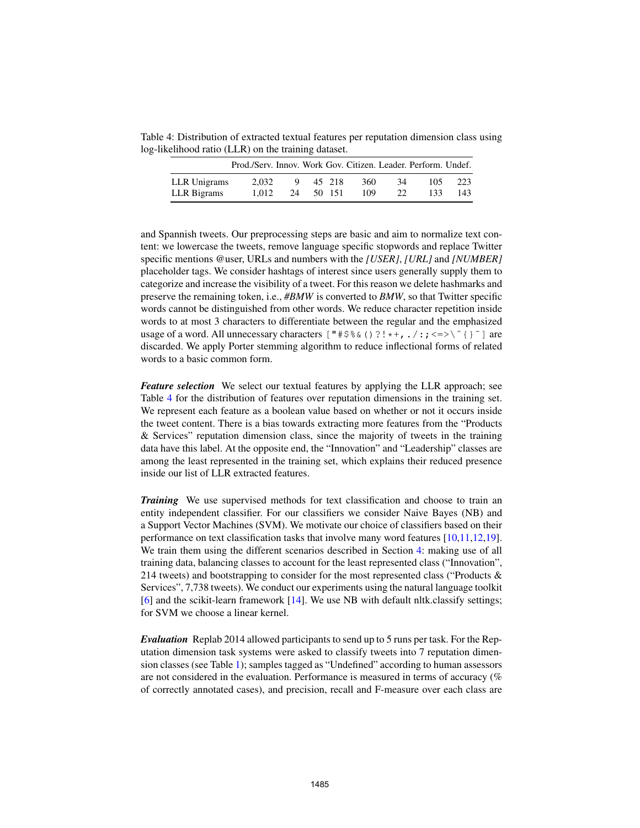Table 4: Distribution of extracted textual features per reputation dimension class using log-likelihood ratio (LLR) on the training dataset.

|              | Prod./Serv. Innov. Work Gov. Citizen. Leader. Perform. Undef. |    |        |     |    |      |      |
|--------------|---------------------------------------------------------------|----|--------|-----|----|------|------|
| LLR Unigrams | 2.032                                                         | Q  | 45 218 | 360 | 34 | 105. | 223  |
| LLR Bigrams  | 1.012                                                         | 24 | 50 151 | 109 | 22 | 133. | 143. |

and Spannish tweets. Our preprocessing steps are basic and aim to normalize text content: we lowercase the tweets, remove language specific stopwords and replace Twitter specific mentions @user, URLs and numbers with the *[USER]*, *[URL]* and *[NUMBER]* placeholder tags. We consider hashtags of interest since users generally supply them to categorize and increase the visibility of a tweet. For this reason we delete hashmarks and preserve the remaining token, i.e., *#BMW* is converted to *BMW*, so that Twitter specific words cannot be distinguished from other words. We reduce character repetition inside words to at most 3 characters to differentiate between the regular and the emphasized usage of a word. All unnecessary characters  $[$  " $\#\$\&$  () ?!\*+,./:; <=>\^{}'] are discarded. We apply Porter stemming algorithm to reduce inflectional forms of related words to a basic common form.

*Feature selection* We select our textual features by applying the LLR approach; see Table 4 for the distribution of features over reputation dimensions in the training set. We represent each feature as a boolean value based on whether or not it occurs inside the tweet content. There is a bias towards extracting more features from the "Products & Services" reputation dimension class, since the majority of tweets in the training data have this label. At the opposite end, the "Innovation" and "Leadership" classes are among the least represented in the training set, which explains their reduced presence inside our list of LLR extracted features.

*Training* We use supervised methods for text classification and choose to train an entity independent classifier. For our classifiers we consider Naive Bayes (NB) and a Support Vector Machines (SVM). We motivate our choice of classifiers based on their performance on text classification tasks that involve many word features [10,11,12,19]. We train them using the different scenarios described in Section 4: making use of all training data, balancing classes to account for the least represented class ("Innovation", 214 tweets) and bootstrapping to consider for the most represented class ("Products & Services", 7,738 tweets). We conduct our experiments using the natural language toolkit [6] and the scikit-learn framework [14]. We use NB with default nltk.classify settings; for SVM we choose a linear kernel.

*Evaluation* Replab 2014 allowed participants to send up to 5 runs per task. For the Reputation dimension task systems were asked to classify tweets into 7 reputation dimension classes (see Table 1); samples tagged as "Undefined" according to human assessors are not considered in the evaluation. Performance is measured in terms of accuracy (% of correctly annotated cases), and precision, recall and F-measure over each class are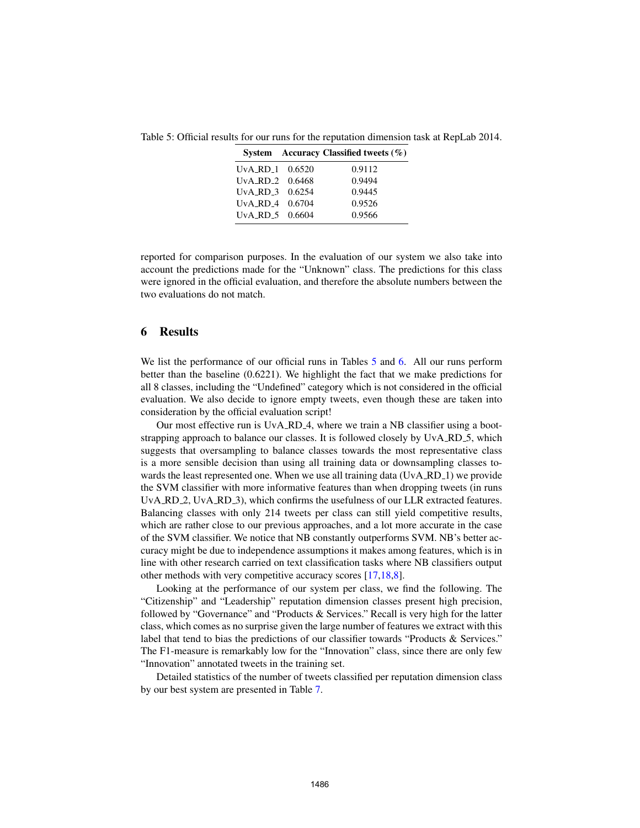Table 5: Official results for our runs for the reputation dimension task at RepLab 2014.

|                                  | System Accuracy Classified tweets $(\% )$ |
|----------------------------------|-------------------------------------------|
| UvA_RD_1 0.6520                  | 0.9112                                    |
| U <sub>V</sub> A RD 2 $0.6468$   | 0.9494                                    |
| UvA_RD_3 0.6254                  | 0.9445                                    |
| $UvA$ <sub>-RD</sub> $-4$ 0.6704 | 0.9526                                    |
| $UvA$ RD $5$ 0.6604              | 0.9566                                    |
|                                  |                                           |

reported for comparison purposes. In the evaluation of our system we also take into account the predictions made for the "Unknown" class. The predictions for this class were ignored in the official evaluation, and therefore the absolute numbers between the two evaluations do not match.

#### 6 Results

We list the performance of our official runs in Tables 5 and 6. All our runs perform better than the baseline (0.6221). We highlight the fact that we make predictions for all 8 classes, including the "Undefined" category which is not considered in the official evaluation. We also decide to ignore empty tweets, even though these are taken into consideration by the official evaluation script!

Our most effective run is UvA\_RD\_4, where we train a NB classifier using a bootstrapping approach to balance our classes. It is followed closely by UvA RD 5, which suggests that oversampling to balance classes towards the most representative class is a more sensible decision than using all training data or downsampling classes towards the least represented one. When we use all training data (UvA\_RD\_1) we provide the SVM classifier with more informative features than when dropping tweets (in runs UvA RD 2, UvA RD 3), which confirms the usefulness of our LLR extracted features. Balancing classes with only 214 tweets per class can still yield competitive results, which are rather close to our previous approaches, and a lot more accurate in the case of the SVM classifier. We notice that NB constantly outperforms SVM. NB's better accuracy might be due to independence assumptions it makes among features, which is in line with other research carried on text classification tasks where NB classifiers output other methods with very competitive accuracy scores [17,18,8].

Looking at the performance of our system per class, we find the following. The "Citizenship" and "Leadership" reputation dimension classes present high precision, followed by "Governance" and "Products & Services." Recall is very high for the latter class, which comes as no surprise given the large number of features we extract with this label that tend to bias the predictions of our classifier towards "Products & Services." The F1-measure is remarkably low for the "Innovation" class, since there are only few "Innovation" annotated tweets in the training set.

Detailed statistics of the number of tweets classified per reputation dimension class by our best system are presented in Table 7.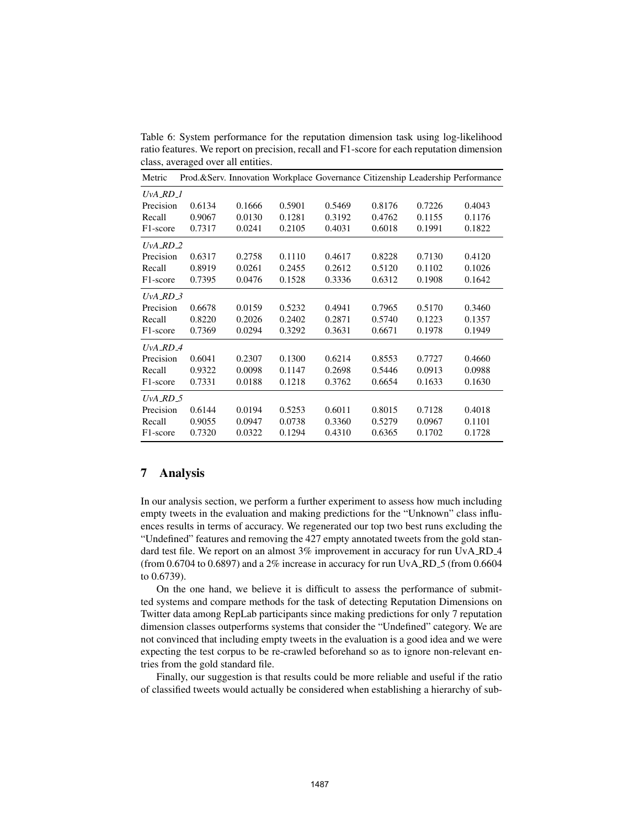Table 6: System performance for the reputation dimension task using log-likelihood ratio features. We report on precision, recall and F1-score for each reputation dimension class, averaged over all entities.

| Metric                    |        |        |        |        |        |        | Prod.&Serv. Innovation Workplace Governance Citizenship Leadership Performance |
|---------------------------|--------|--------|--------|--------|--------|--------|--------------------------------------------------------------------------------|
| $UvA$ <sub>-RD-1</sub>    |        |        |        |        |        |        |                                                                                |
| Precision                 | 0.6134 | 0.1666 | 0.5901 | 0.5469 | 0.8176 | 0.7226 | 0.4043                                                                         |
| Recall                    | 0.9067 | 0.0130 | 0.1281 | 0.3192 | 0.4762 | 0.1155 | 0.1176                                                                         |
| F <sub>1</sub> -score     | 0.7317 | 0.0241 | 0.2105 | 0.4031 | 0.6018 | 0.1991 | 0.1822                                                                         |
| $UvA$ <sub>-RD-2</sub>    |        |        |        |        |        |        |                                                                                |
| Precision                 | 0.6317 | 0.2758 | 0.1110 | 0.4617 | 0.8228 | 0.7130 | 0.4120                                                                         |
| Recall                    | 0.8919 | 0.0261 | 0.2455 | 0.2612 | 0.5120 | 0.1102 | 0.1026                                                                         |
| F <sub>1</sub> -score     | 0.7395 | 0.0476 | 0.1528 | 0.3336 | 0.6312 | 0.1908 | 0.1642                                                                         |
| $UvA$ <sub>-RD</sub> $-3$ |        |        |        |        |        |        |                                                                                |
| Precision                 | 0.6678 | 0.0159 | 0.5232 | 0.4941 | 0.7965 | 0.5170 | 0.3460                                                                         |
| Recall                    | 0.8220 | 0.2026 | 0.2402 | 0.2871 | 0.5740 | 0.1223 | 0.1357                                                                         |
| F1-score                  | 0.7369 | 0.0294 | 0.3292 | 0.3631 | 0.6671 | 0.1978 | 0.1949                                                                         |
| $UvA$ <sub>RD</sub> $-4$  |        |        |        |        |        |        |                                                                                |
| Precision                 | 0.6041 | 0.2307 | 0.1300 | 0.6214 | 0.8553 | 0.7727 | 0.4660                                                                         |
| Recall                    | 0.9322 | 0.0098 | 0.1147 | 0.2698 | 0.5446 | 0.0913 | 0.0988                                                                         |
| F <sub>1</sub> -score     | 0.7331 | 0.0188 | 0.1218 | 0.3762 | 0.6654 | 0.1633 | 0.1630                                                                         |
| $UvA$ <sub>-RD</sub> $-5$ |        |        |        |        |        |        |                                                                                |
| Precision                 | 0.6144 | 0.0194 | 0.5253 | 0.6011 | 0.8015 | 0.7128 | 0.4018                                                                         |
| Recall                    | 0.9055 | 0.0947 | 0.0738 | 0.3360 | 0.5279 | 0.0967 | 0.1101                                                                         |
| F <sub>1</sub> -score     | 0.7320 | 0.0322 | 0.1294 | 0.4310 | 0.6365 | 0.1702 | 0.1728                                                                         |

# 7 Analysis

In our analysis section, we perform a further experiment to assess how much including empty tweets in the evaluation and making predictions for the "Unknown" class influences results in terms of accuracy. We regenerated our top two best runs excluding the "Undefined" features and removing the 427 empty annotated tweets from the gold standard test file. We report on an almost 3% improvement in accuracy for run UvA\_RD\_4 (from 0.6704 to 0.6897) and a  $2\%$  increase in accuracy for run UvA\_RD\_5 (from 0.6604 to 0.6739).

On the one hand, we believe it is difficult to assess the performance of submitted systems and compare methods for the task of detecting Reputation Dimensions on Twitter data among RepLab participants since making predictions for only 7 reputation dimension classes outperforms systems that consider the "Undefined" category. We are not convinced that including empty tweets in the evaluation is a good idea and we were expecting the test corpus to be re-crawled beforehand so as to ignore non-relevant entries from the gold standard file.

Finally, our suggestion is that results could be more reliable and useful if the ratio of classified tweets would actually be considered when establishing a hierarchy of sub-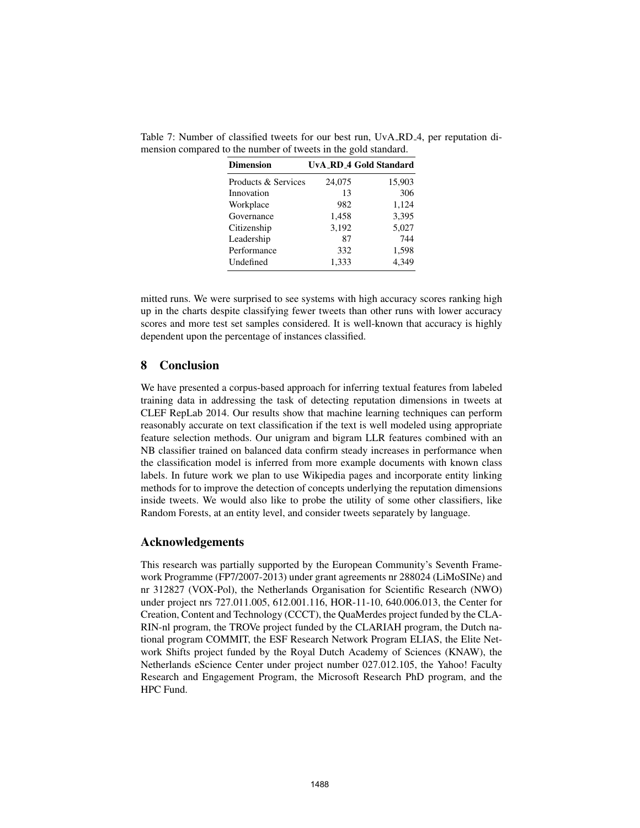| <b>Dimension</b>    |        | <b>UvA_RD_4 Gold Standard</b> |
|---------------------|--------|-------------------------------|
| Products & Services | 24,075 | 15,903                        |
| Innovation          | 13     | 306                           |
| Workplace           | 982    | 1,124                         |
| Governance          | 1,458  | 3,395                         |
| Citizenship         | 3,192  | 5,027                         |
| Leadership          | 87     | 744                           |
| Performance         | 332    | 1,598                         |
| Undefined           | 1,333  | 4.349                         |

Table 7: Number of classified tweets for our best run, UvA RD 4, per reputation dimension compared to the number of tweets in the gold standard.

mitted runs. We were surprised to see systems with high accuracy scores ranking high up in the charts despite classifying fewer tweets than other runs with lower accuracy scores and more test set samples considered. It is well-known that accuracy is highly dependent upon the percentage of instances classified.

#### 8 Conclusion

We have presented a corpus-based approach for inferring textual features from labeled training data in addressing the task of detecting reputation dimensions in tweets at CLEF RepLab 2014. Our results show that machine learning techniques can perform reasonably accurate on text classification if the text is well modeled using appropriate feature selection methods. Our unigram and bigram LLR features combined with an NB classifier trained on balanced data confirm steady increases in performance when the classification model is inferred from more example documents with known class labels. In future work we plan to use Wikipedia pages and incorporate entity linking methods for to improve the detection of concepts underlying the reputation dimensions inside tweets. We would also like to probe the utility of some other classifiers, like Random Forests, at an entity level, and consider tweets separately by language.

#### Acknowledgements

This research was partially supported by the European Community's Seventh Framework Programme (FP7/2007-2013) under grant agreements nr 288024 (LiMoSINe) and nr 312827 (VOX-Pol), the Netherlands Organisation for Scientific Research (NWO) under project nrs 727.011.005, 612.001.116, HOR-11-10, 640.006.013, the Center for Creation, Content and Technology (CCCT), the QuaMerdes project funded by the CLA-RIN-nl program, the TROVe project funded by the CLARIAH program, the Dutch national program COMMIT, the ESF Research Network Program ELIAS, the Elite Network Shifts project funded by the Royal Dutch Academy of Sciences (KNAW), the Netherlands eScience Center under project number 027.012.105, the Yahoo! Faculty Research and Engagement Program, the Microsoft Research PhD program, and the HPC Fund.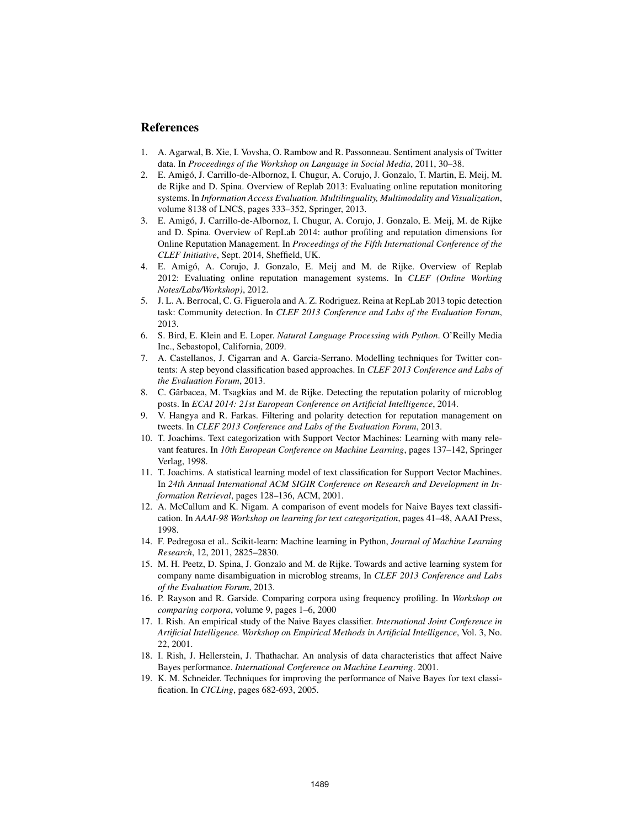## References

- 1. A. Agarwal, B. Xie, I. Vovsha, O. Rambow and R. Passonneau. Sentiment analysis of Twitter data. In *Proceedings of the Workshop on Language in Social Media*, 2011, 30–38.
- 2. E. Amigo, J. Carrillo-de-Albornoz, I. Chugur, A. Corujo, J. Gonzalo, T. Martin, E. Meij, M. ´ de Rijke and D. Spina. Overview of Replab 2013: Evaluating online reputation monitoring systems. In *Information Access Evaluation. Multilinguality, Multimodality and Visualization*, volume 8138 of LNCS, pages 333–352, Springer, 2013.
- 3. E. Amigo, J. Carrillo-de-Albornoz, I. Chugur, A. Corujo, J. Gonzalo, E. Meij, M. de Rijke ´ and D. Spina. Overview of RepLab 2014: author profiling and reputation dimensions for Online Reputation Management. In *Proceedings of the Fifth International Conference of the CLEF Initiative*, Sept. 2014, Sheffield, UK.
- 4. E. Amigo, A. Corujo, J. Gonzalo, E. Meij and M. de Rijke. Overview of Replab ´ 2012: Evaluating online reputation management systems. In *CLEF (Online Working Notes/Labs/Workshop)*, 2012.
- 5. J. L. A. Berrocal, C. G. Figuerola and A. Z. Rodriguez. Reina at RepLab 2013 topic detection task: Community detection. In *CLEF 2013 Conference and Labs of the Evaluation Forum*, 2013.
- 6. S. Bird, E. Klein and E. Loper. *Natural Language Processing with Python*. O'Reilly Media Inc., Sebastopol, California, 2009.
- 7. A. Castellanos, J. Cigarran and A. Garcia-Serrano. Modelling techniques for Twitter contents: A step beyond classification based approaches. In *CLEF 2013 Conference and Labs of the Evaluation Forum*, 2013.
- 8. C. Gârbacea, M. Tsagkias and M. de Rijke. Detecting the reputation polarity of microblog posts. In *ECAI 2014: 21st European Conference on Artificial Intelligence*, 2014.
- 9. V. Hangya and R. Farkas. Filtering and polarity detection for reputation management on tweets. In *CLEF 2013 Conference and Labs of the Evaluation Forum*, 2013.
- 10. T. Joachims. Text categorization with Support Vector Machines: Learning with many relevant features. In *10th European Conference on Machine Learning*, pages 137–142, Springer Verlag, 1998.
- 11. T. Joachims. A statistical learning model of text classification for Support Vector Machines. In *24th Annual International ACM SIGIR Conference on Research and Development in Information Retrieval*, pages 128–136, ACM, 2001.
- 12. A. McCallum and K. Nigam. A comparison of event models for Naive Bayes text classification. In *AAAI-98 Workshop on learning for text categorization*, pages 41–48, AAAI Press, 1998.
- 14. F. Pedregosa et al.. Scikit-learn: Machine learning in Python, *Journal of Machine Learning Research*, 12, 2011, 2825–2830.
- 15. M. H. Peetz, D. Spina, J. Gonzalo and M. de Rijke. Towards and active learning system for company name disambiguation in microblog streams, In *CLEF 2013 Conference and Labs of the Evaluation Forum*, 2013.
- 16. P. Rayson and R. Garside. Comparing corpora using frequency profiling. In *Workshop on comparing corpora*, volume 9, pages 1–6, 2000
- 17. I. Rish. An empirical study of the Naive Bayes classifier. *International Joint Conference in Artificial Intelligence. Workshop on Empirical Methods in Artificial Intelligence*, Vol. 3, No. 22, 2001.
- 18. I. Rish, J. Hellerstein, J. Thathachar. An analysis of data characteristics that affect Naive Bayes performance. *International Conference on Machine Learning*. 2001.
- 19. K. M. Schneider. Techniques for improving the performance of Naive Bayes for text classification. In *CICLing*, pages 682-693, 2005.